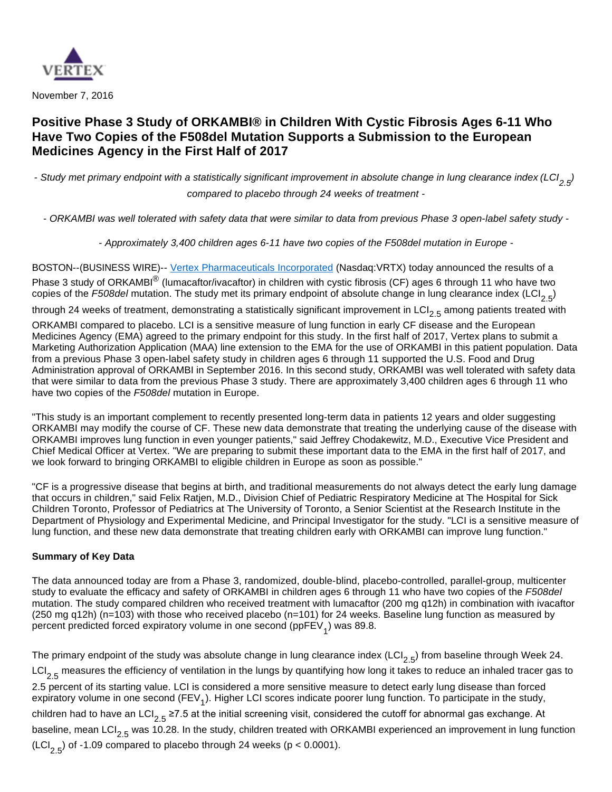

November 7, 2016

# **Positive Phase 3 Study of ORKAMBI® in Children With Cystic Fibrosis Ages 6-11 Who Have Two Copies of the F508del Mutation Supports a Submission to the European Medicines Agency in the First Half of 2017**

- Study met primary endpoint with a statistically significant improvement in absolute change in lung clearance index (LCI<sub>2, 5</sub>) compared to placebo through 24 weeks of treatment -

- ORKAMBI was well tolerated with safety data that were similar to data from previous Phase 3 open-label safety study -

- Approximately 3,400 children ages 6-11 have two copies of the F508del mutation in Europe -

BOSTON--(BUSINESS WIRE)-- [Vertex Pharmaceuticals Incorporated](http://cts.businesswire.com/ct/CT?id=smartlink&url=http%3A%2F%2Fwww.vrtx.com&esheet=51454848&newsitemid=20161107005748&lan=en-US&anchor=Vertex+Pharmaceuticals+Incorporated&index=1&md5=e6d2cf03c9caf07475dd8b3c745ce1c7) (Nasdaq:VRTX) today announced the results of a Phase 3 study of ORKAMBI<sup>®</sup> (lumacaftor/ivacaftor) in children with cystic fibrosis (CF) ages 6 through 11 who have two copies of the F508del mutation. The study met its primary endpoint of absolute change in lung clearance index (LCI<sub>2.5</sub>)

through 24 weeks of treatment, demonstrating a statistically significant improvement in  $\text{LCI}_{2.5}$  among patients treated with

ORKAMBI compared to placebo. LCI is a sensitive measure of lung function in early CF disease and the European Medicines Agency (EMA) agreed to the primary endpoint for this study. In the first half of 2017, Vertex plans to submit a Marketing Authorization Application (MAA) line extension to the EMA for the use of ORKAMBI in this patient population. Data from a previous Phase 3 open-label safety study in children ages 6 through 11 supported the U.S. Food and Drug Administration approval of ORKAMBI in September 2016. In this second study, ORKAMBI was well tolerated with safety data that were similar to data from the previous Phase 3 study. There are approximately 3,400 children ages 6 through 11 who have two copies of the F508del mutation in Europe.

"This study is an important complement to recently presented long-term data in patients 12 years and older suggesting ORKAMBI may modify the course of CF. These new data demonstrate that treating the underlying cause of the disease with ORKAMBI improves lung function in even younger patients," said Jeffrey Chodakewitz, M.D., Executive Vice President and Chief Medical Officer at Vertex. "We are preparing to submit these important data to the EMA in the first half of 2017, and we look forward to bringing ORKAMBI to eligible children in Europe as soon as possible."

"CF is a progressive disease that begins at birth, and traditional measurements do not always detect the early lung damage that occurs in children," said Felix Ratjen, M.D., Division Chief of Pediatric Respiratory Medicine at The Hospital for Sick Children Toronto, Professor of Pediatrics at The University of Toronto, a Senior Scientist at the Research Institute in the Department of Physiology and Experimental Medicine, and Principal Investigator for the study. "LCI is a sensitive measure of lung function, and these new data demonstrate that treating children early with ORKAMBI can improve lung function."

# **Summary of Key Data**

The data announced today are from a Phase 3, randomized, double-blind, placebo-controlled, parallel-group, multicenter study to evaluate the efficacy and safety of ORKAMBI in children ages 6 through 11 who have two copies of the F508del mutation. The study compared children who received treatment with lumacaftor (200 mg q12h) in combination with ivacaftor (250 mg q12h) (n=103) with those who received placebo (n=101) for 24 weeks. Baseline lung function as measured by percent predicted forced expiratory volume in one second (ppFEV<sub>1</sub>) was 89.8.

The primary endpoint of the study was absolute change in lung clearance index (LCI<sub>2.5</sub>) from baseline through Week 24. LCI<sub>2.5</sub> measures the efficiency of ventilation in the lungs by quantifying how long it takes to reduce an inhaled tracer gas to 2.5 percent of its starting value. LCI is considered a more sensitive measure to detect early lung disease than forced expiratory volume in one second (FEV<sub>1</sub>). Higher LCI scores indicate poorer lung function. To participate in the study, children had to have an LCI<sub>2.5</sub> ≥7.5 at the initial screening visit, considered the cutoff for abnormal gas exchange. At baseline, mean LCI<sub>2.5</sub> was 10.28. In the study, children treated with ORKAMBI experienced an improvement in lung function  $(LCI_{2.5})$  of -1.09 compared to placebo through 24 weeks (p < 0.0001).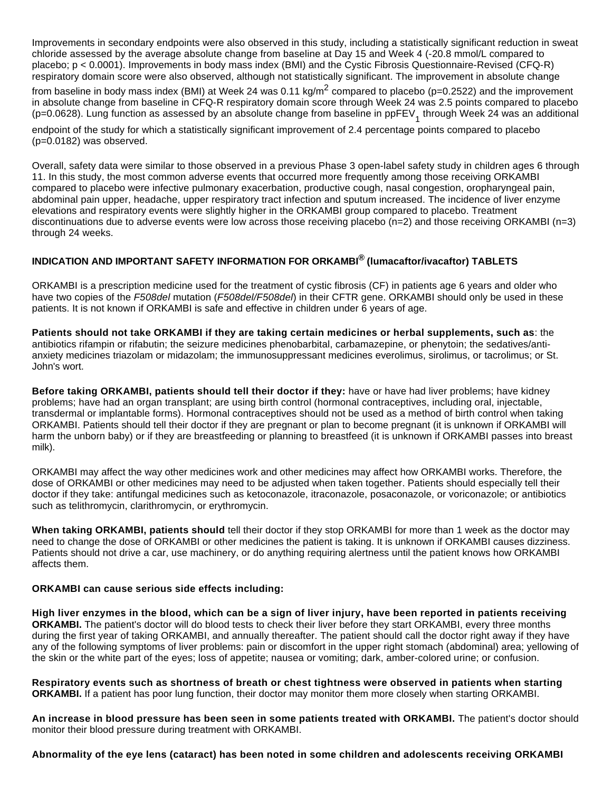Improvements in secondary endpoints were also observed in this study, including a statistically significant reduction in sweat chloride assessed by the average absolute change from baseline at Day 15 and Week 4 (-20.8 mmol/L compared to placebo; p < 0.0001). Improvements in body mass index (BMI) and the Cystic Fibrosis Questionnaire-Revised (CFQ-R) respiratory domain score were also observed, although not statistically significant. The improvement in absolute change from baseline in body mass index (BMI) at Week 24 was 0.11 kg/m<sup>2</sup> compared to placebo (p=0.2522) and the improvement in absolute change from baseline in CFQ-R respiratory domain score through Week 24 was 2.5 points compared to placebo (p=0.0628). Lung function as assessed by an absolute change from baseline in ppFEV<sub>1</sub> through Week 24 was an additional

endpoint of the study for which a statistically significant improvement of 2.4 percentage points compared to placebo (p=0.0182) was observed.

Overall, safety data were similar to those observed in a previous Phase 3 open-label safety study in children ages 6 through 11. In this study, the most common adverse events that occurred more frequently among those receiving ORKAMBI compared to placebo were infective pulmonary exacerbation, productive cough, nasal congestion, oropharyngeal pain, abdominal pain upper, headache, upper respiratory tract infection and sputum increased. The incidence of liver enzyme elevations and respiratory events were slightly higher in the ORKAMBI group compared to placebo. Treatment discontinuations due to adverse events were low across those receiving placebo (n=2) and those receiving ORKAMBI (n=3) through 24 weeks.

## **INDICATION AND IMPORTANT SAFETY INFORMATION FOR ORKAMBI® (lumacaftor/ivacaftor) TABLETS**

ORKAMBI is a prescription medicine used for the treatment of cystic fibrosis (CF) in patients age 6 years and older who have two copies of the F508del mutation (F508del/F508del) in their CFTR gene. ORKAMBI should only be used in these patients. It is not known if ORKAMBI is safe and effective in children under 6 years of age.

**Patients should not take ORKAMBI if they are taking certain medicines or herbal supplements, such as**: the antibiotics rifampin or rifabutin; the seizure medicines phenobarbital, carbamazepine, or phenytoin; the sedatives/antianxiety medicines triazolam or midazolam; the immunosuppressant medicines everolimus, sirolimus, or tacrolimus; or St. John's wort.

**Before taking ORKAMBI, patients should tell their doctor if they:** have or have had liver problems; have kidney problems; have had an organ transplant; are using birth control (hormonal contraceptives, including oral, injectable, transdermal or implantable forms). Hormonal contraceptives should not be used as a method of birth control when taking ORKAMBI. Patients should tell their doctor if they are pregnant or plan to become pregnant (it is unknown if ORKAMBI will harm the unborn baby) or if they are breastfeeding or planning to breastfeed (it is unknown if ORKAMBI passes into breast milk).

ORKAMBI may affect the way other medicines work and other medicines may affect how ORKAMBI works. Therefore, the dose of ORKAMBI or other medicines may need to be adjusted when taken together. Patients should especially tell their doctor if they take: antifungal medicines such as ketoconazole, itraconazole, posaconazole, or voriconazole; or antibiotics such as telithromycin, clarithromycin, or erythromycin.

**When taking ORKAMBI, patients should** tell their doctor if they stop ORKAMBI for more than 1 week as the doctor may need to change the dose of ORKAMBI or other medicines the patient is taking. It is unknown if ORKAMBI causes dizziness. Patients should not drive a car, use machinery, or do anything requiring alertness until the patient knows how ORKAMBI affects them.

## **ORKAMBI can cause serious side effects including:**

**High liver enzymes in the blood, which can be a sign of liver injury, have been reported in patients receiving ORKAMBI.** The patient's doctor will do blood tests to check their liver before they start ORKAMBI, every three months during the first year of taking ORKAMBI, and annually thereafter. The patient should call the doctor right away if they have any of the following symptoms of liver problems: pain or discomfort in the upper right stomach (abdominal) area; yellowing of the skin or the white part of the eyes; loss of appetite; nausea or vomiting; dark, amber-colored urine; or confusion.

**Respiratory events such as shortness of breath or chest tightness were observed in patients when starting ORKAMBI.** If a patient has poor lung function, their doctor may monitor them more closely when starting ORKAMBI.

**An increase in blood pressure has been seen in some patients treated with ORKAMBI.** The patient's doctor should monitor their blood pressure during treatment with ORKAMBI.

**Abnormality of the eye lens (cataract) has been noted in some children and adolescents receiving ORKAMBI**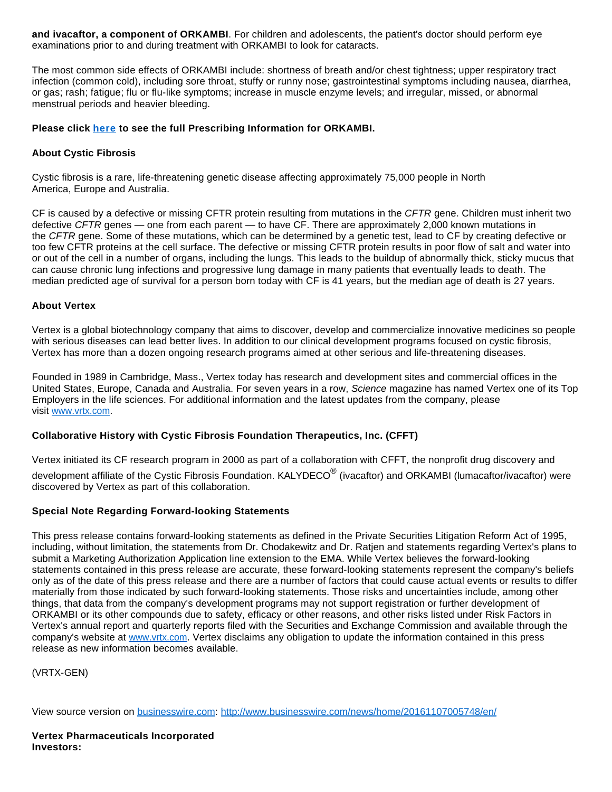**and ivacaftor, a component of ORKAMBI**. For children and adolescents, the patient's doctor should perform eye examinations prior to and during treatment with ORKAMBI to look for cataracts.

The most common side effects of ORKAMBI include: shortness of breath and/or chest tightness; upper respiratory tract infection (common cold), including sore throat, stuffy or runny nose; gastrointestinal symptoms including nausea, diarrhea, or gas; rash; fatigue; flu or flu-like symptoms; increase in muscle enzyme levels; and irregular, missed, or abnormal menstrual periods and heavier bleeding.

#### **Please click [here](http://cts.businesswire.com/ct/CT?id=smartlink&url=http%3A%2F%2Fpi.vrtx.com%2Ffiles%2Fuspi_lumacaftor_ivacaftor.pdf&esheet=51454848&newsitemid=20161107005748&lan=en-US&anchor=here&index=2&md5=a26d0550681247970f1342ecbc197641) to see the full Prescribing Information for ORKAMBI.**

#### **About Cystic Fibrosis**

Cystic fibrosis is a rare, life-threatening genetic disease affecting approximately 75,000 people in North America, Europe and Australia.

CF is caused by a defective or missing CFTR protein resulting from mutations in the CFTR gene. Children must inherit two defective CFTR genes — one from each parent — to have CF. There are approximately 2,000 known mutations in the CFTR gene. Some of these mutations, which can be determined by a genetic test, lead to CF by creating defective or too few CFTR proteins at the cell surface. The defective or missing CFTR protein results in poor flow of salt and water into or out of the cell in a number of organs, including the lungs. This leads to the buildup of abnormally thick, sticky mucus that can cause chronic lung infections and progressive lung damage in many patients that eventually leads to death. The median predicted age of survival for a person born today with CF is 41 years, but the median age of death is 27 years.

#### **About Vertex**

Vertex is a global biotechnology company that aims to discover, develop and commercialize innovative medicines so people with serious diseases can lead better lives. In addition to our clinical development programs focused on cystic fibrosis, Vertex has more than a dozen ongoing research programs aimed at other serious and life-threatening diseases.

Founded in 1989 in Cambridge, Mass., Vertex today has research and development sites and commercial offices in the United States, Europe, Canada and Australia. For seven years in a row, Science magazine has named Vertex one of its Top Employers in the life sciences. For additional information and the latest updates from the company, please visit [www.vrtx.com](http://cts.businesswire.com/ct/CT?id=smartlink&url=http%3A%2F%2Fwww.vrtx.com&esheet=51454848&newsitemid=20161107005748&lan=en-US&anchor=www.vrtx.com&index=3&md5=acb2388c722f7611970852701152b3f9).

## **Collaborative History with Cystic Fibrosis Foundation Therapeutics, Inc. (CFFT)**

Vertex initiated its CF research program in 2000 as part of a collaboration with CFFT, the nonprofit drug discovery and development affiliate of the Cystic Fibrosis Foundation. KALYDECO $^\circledR$  (ivacaftor) and ORKAMBI (lumacaftor/ivacaftor) were discovered by Vertex as part of this collaboration.

#### **Special Note Regarding Forward-looking Statements**

This press release contains forward-looking statements as defined in the Private Securities Litigation Reform Act of 1995, including, without limitation, the statements from Dr. Chodakewitz and Dr. Ratjen and statements regarding Vertex's plans to submit a Marketing Authorization Application line extension to the EMA. While Vertex believes the forward-looking statements contained in this press release are accurate, these forward-looking statements represent the company's beliefs only as of the date of this press release and there are a number of factors that could cause actual events or results to differ materially from those indicated by such forward-looking statements. Those risks and uncertainties include, among other things, that data from the company's development programs may not support registration or further development of ORKAMBI or its other compounds due to safety, efficacy or other reasons, and other risks listed under Risk Factors in Vertex's annual report and quarterly reports filed with the Securities and Exchange Commission and available through the company's website at [www.vrtx.com](http://cts.businesswire.com/ct/CT?id=smartlink&url=http%3A%2F%2Fwww.vrtx.com&esheet=51454848&newsitemid=20161107005748&lan=en-US&anchor=www.vrtx.com&index=4&md5=b09fc439edd53ae216215c0dc96c14c7). Vertex disclaims any obligation to update the information contained in this press release as new information becomes available.

(VRTX-GEN)

View source version on [businesswire.com](http://businesswire.com/): <http://www.businesswire.com/news/home/20161107005748/en/>